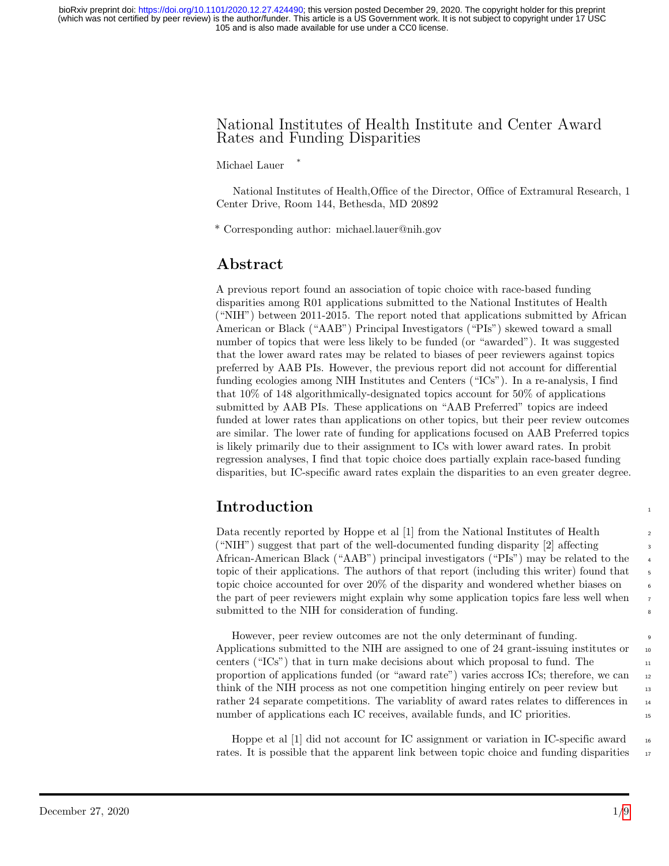105 and is also made available for use under a CC0 license. (which was not certified by peer review) is the author/funder. This article is a US Government work. It is not subject to copyright under 17 USC bioRxiv preprint doi: [https://doi.org/10.1101/2020.12.27.424490;](https://doi.org/10.1101/2020.12.27.424490) this version posted December 29, 2020. The copyright holder for this preprint

#### National Institutes of Health Institute and Center Award Rates and Funding Disparities

Michael Lauer \*

National Institutes of Health,Office of the Director, Office of Extramural Research, 1 Center Drive, Room 144, Bethesda, MD 20892

\* Corresponding author: michael.lauer@nih.gov

## Abstract

A previous report found an association of topic choice with race-based funding disparities among R01 applications submitted to the National Institutes of Health ("NIH") between 2011-2015. The report noted that applications submitted by African American or Black ("AAB") Principal Investigators ("PIs") skewed toward a small number of topics that were less likely to be funded (or "awarded"). It was suggested that the lower award rates may be related to biases of peer reviewers against topics preferred by AAB PIs. However, the previous report did not account for differential funding ecologies among NIH Institutes and Centers ("ICs"). In a re-analysis, I find that 10% of 148 algorithmically-designated topics account for 50% of applications submitted by AAB PIs. These applications on "AAB Preferred" topics are indeed funded at lower rates than applications on other topics, but their peer review outcomes are similar. The lower rate of funding for applications focused on AAB Preferred topics is likely primarily due to their assignment to ICs with lower award rates. In probit regression analyses, I find that topic choice does partially explain race-based funding disparities, but IC-specific award rates explain the disparities to an even greater degree.

# **Introduction**

Data recently reported by Hoppe et al [1] from the National Institutes of Health 2  $($  "NIH") suggest that part of the well-documented funding disparity [2] affecting African-American Black ("AAB") principal investigators ("PIs") may be related to the <sup>4</sup> topic of their applications. The authors of that report (including this writer) found that  $\frac{5}{5}$ topic choice accounted for over  $20\%$  of the disparity and wondered whether biases on the part of peer reviewers might explain why some application topics fare less well when <sup>7</sup> submitted to the NIH for consideration of funding.

However, peer review outcomes are not the only determinant of funding. <sup>9</sup> Applications submitted to the NIH are assigned to one of 24 grant-issuing institutes or  $\frac{10}{10}$ centers (" $\text{ICs}$ ") that in turn make decisions about which proposal to fund. The  $\text{II}$ proportion of applications funded (or "award rate") varies accross ICs; therefore, we can <sup>12</sup> think of the NIH process as not one competition hinging entirely on peer review but rather 24 separate competitions. The variablity of award rates relates to differences in  $_{14}$ number of applications each IC receives, available funds, and IC priorities.

Hoppe et al  $[1]$  did not account for IC assignment or variation in IC-specific award 16 rates. It is possible that the apparent link between topic choice and funding disparities 17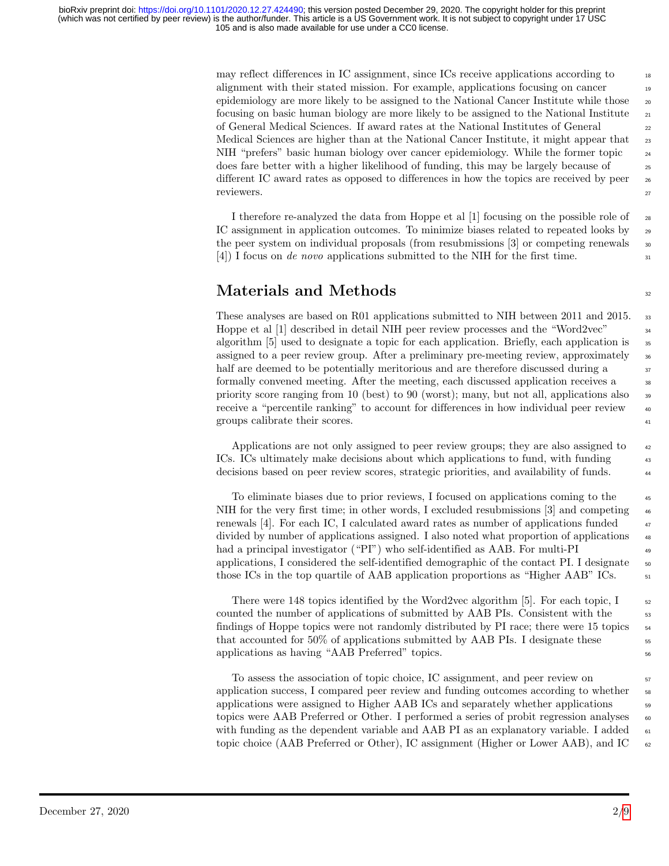105 and is also made available for use under a CC0 license. (which was not certified by peer review) is the author/funder. This article is a US Government work. It is not subject to copyright under 17 USC bioRxiv preprint doi: [https://doi.org/10.1101/2020.12.27.424490;](https://doi.org/10.1101/2020.12.27.424490) this version posted December 29, 2020. The copyright holder for this preprint

> may reflect differences in IC assignment, since ICs receive applications according to alignment with their stated mission. For example, applications focusing on cancer epidemiology are more likely to be assigned to the National Cancer Institute while those <sub>20</sub> focusing on basic human biology are more likely to be assigned to the National Institute  $\frac{1}{21}$ of General Medical Sciences. If award rates at the National Institutes of General <sup>22</sup> Medical Sciences are higher than at the National Cancer Institute, it might appear that 23 NIH "prefers" basic human biology over cancer epidemiology. While the former topic  $_{24}$ does fare better with a higher likelihood of funding, this may be largely because of <sup>25</sup> different IC award rates as opposed to differences in how the topics are received by peer  $_{26}$ reviewers. 27

> I therefore re-analyzed the data from Hoppe et al  $[1]$  focusing on the possible role of 28 IC assignment in application outcomes. To minimize biases related to repeated looks by <sup>29</sup> the peer system on individual proposals (from resubmissions  $[3]$  or competing renewals  $\frac{30}{20}$  $(4)$  I focus on de novo applications submitted to the NIH for the first time.

## $\mathbf{Materials} \text{ and Methods} \qquad \qquad \mathbf{32}$

These analyses are based on R01 applications submitted to NIH between 2011 and 2015. 33 Hoppe et al [1] described in detail NIH peer review processes and the "Word2vec"  $\frac{34}{3}$ algorithm  $[5]$  used to designate a topic for each application. Briefly, each application is  $\frac{35}{15}$ assigned to a peer review group. After a preliminary pre-meeting review, approximately 36 half are deemed to be potentially meritorious and are therefore discussed during a  $\frac{37}{2}$ formally convened meeting. After the meeting, each discussed application receives a priority score ranging from 10 (best) to 90 (worst); many, but not all, applications also <sup>39</sup> receive a "percentile ranking" to account for differences in how individual peer review  $\frac{40}{40}$ groups calibrate their scores.  $\frac{41}{41}$ 

Applications are not only assigned to peer review groups; they are also assigned to  $\frac{42}{42}$ ICs. ICs ultimately make decisions about which applications to fund, with funding <sup>43</sup> decisions based on peer review scores, strategic priorities, and availability of funds. <sup>44</sup>

To eliminate biases due to prior reviews, I focused on applications coming to the <sup>45</sup> NIH for the very first time; in other words, I excluded resubmissions [3] and competing  $\frac{46}{100}$ renewals  $[4]$ . For each IC, I calculated award rates as number of applications funded  $\frac{47}{47}$ divided by number of applications assigned. I also noted what proportion of applications <sup>48</sup> had a principal investigator ("PI") who self-identified as AAB. For multi-PI <sup>49</sup> applications, I considered the self-identified demographic of the contact PI. I designate  $\frac{50}{100}$ those ICs in the top quartile of AAB application proportions as "Higher AAB" ICs.  $\frac{51}{2}$ 

There were 148 topics identified by the Word2vec algorithm [5]. For each topic,  $I_{52}$ counted the number of applications of submitted by AAB PIs. Consistent with the 53 findings of Hoppe topics were not randomly distributed by PI race; there were 15 topics  $\frac{54}{15}$ that accounted for  $50\%$  of applications submitted by AAB PIs. I designate these  $\frac{55}{55}$ applications as having "AAB Preferred" topics. <sup>56</sup>

To assess the association of topic choice, IC assignment, and peer review on  $\frac{57}{2}$ application success, I compared peer review and funding outcomes according to whether  $\frac{58}{10}$ applications were assigned to Higher AAB ICs and separately whether applications  $\frac{59}{2}$ topics were AAB Preferred or Other. I performed a series of probit regression analyses  $\sim$ with funding as the dependent variable and AAB PI as an explanatory variable. I added  $\epsilon_{1}$ topic choice (AAB Preferred or Other), IC assignment (Higher or Lower AAB), and IC  $_{62}$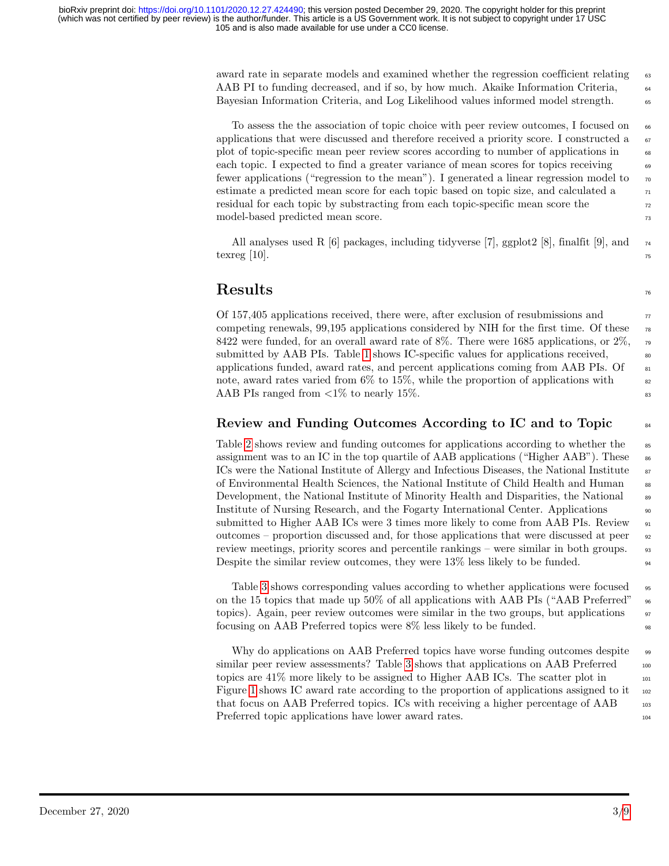award rate in separate models and examined whether the regression coefficient relating 63 AAB PI to funding decreased, and if so, by how much. Akaike Information Criteria,  $\frac{64}{64}$ Bayesian Information Criteria, and Log Likelihood values informed model strength.  $\frac{65}{65}$ 

To assess the the association of topic choice with peer review outcomes, I focused on  $66$ applications that were discussed and therefore received a priority score. I constructed a  $\sigma$ plot of topic-specific mean peer review scores according to number of applications in <sup>68</sup> each topic. I expected to find a greater variance of mean scores for topics receiving  $\frac{69}{69}$ fewer applications ("regression to the mean"). I generated a linear regression model to  $\pi$ estimate a predicted mean score for each topic based on topic size, and calculated a  $\frac{71}{71}$ residual for each topic by substracting from each topic-specific mean score the  $\frac{72}{2}$ model-based predicted mean score. The mass of the state of the state of the state of the state of the state of the state of the state of the state of the state of the state of the state of the state of the state of the sta

All analyses used R [6] packages, including tidyverse [7], ggplot2 [8], finalfit [9], and  $_{74}$ texreg  $[10]$ .

# $Results$

Of 157,405 applications received, there were, after exclusion of resubmissions and <sup>77</sup> competing renewals, 99,195 applications considered by NIH for the first time. Of these  $\pi$ 8422 were funded, for an overall award rate of 8%. There were 1685 applications, or  $2\%$ ,  $\overline{19}$ submitted by AAB PIs. Table [1](#page-3-0) shows IC-specific values for applications received,  $\frac{80}{20}$ applications funded, award rates, and percent applications coming from AAB PIs. Of  $\qquad$  81 note, award rates varied from  $6\%$  to  $15\%$ , while the proportion of applications with  $\frac{82}{2}$ AAB PIs ranged from  $\langle 1\%$  to nearly 15%.

### Review and Funding Outcomes According to IC and to Topic <sup>84</sup>

Table [2](#page-3-1) shows review and funding outcomes for applications according to whether the  $\frac{1}{1000}$ assignment was to an IC in the top quartile of AAB applications ("Higher AAB"). These  $\bullet$ ICs were the National Institute of Allergy and Infectious Diseases, the National Institute  $\frac{1}{s}$ of Environmental Health Sciences, the National Institute of Child Health and Human <sup>88</sup> Development, the National Institute of Minority Health and Disparities, the National 89 Institute of Nursing Research, and the Fogarty International Center. Applications  $\frac{90}{90}$ submitted to Higher AAB ICs were 3 times more likely to come from AAB PIs. Review  $_{91}$ outcomes – proportion discussed and, for those applications that were discussed at peer  $\frac{92}{2}$ review meetings, priority scores and percentile rankings – were similar in both groups.  $\frac{93}{2}$ Despite the similar review outcomes, they were  $13\%$  less likely to be funded.

Table [3](#page-4-0) shows corresponding values according to whether applications were focused  $\frac{1}{95}$ on the 15 topics that made up 50% of all applications with AAB PIs ("AAB Preferred"  $\frac{1}{96}$ topics). Again, peer review outcomes were similar in the two groups, but applications  $\frac{97}{2}$ focusing on AAB Preferred topics were 8% less likely to be funded. <sup>98</sup>

Why do applications on AAB Preferred topics have worse funding outcomes despite  $\frac{99}{99}$ similar peer review assessments? Table [3](#page-4-0) shows that applications on AAB Preferred  $_{100}$ topics are  $41\%$  more likely to be assigned to Higher AAB ICs. The scatter plot in  $_{101}$ Figure [1](#page-4-1) shows IC award rate according to the proportion of applications assigned to it  $_{102}$ that focus on AAB Preferred topics. ICs with receiving a higher percentage of AAB 103 Preferred topic applications have lower award rates.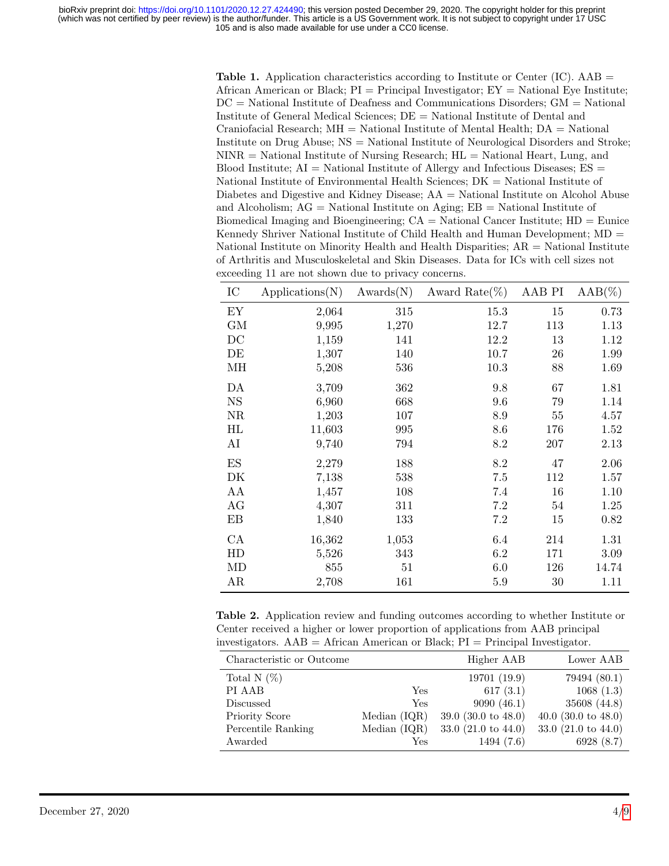<span id="page-3-0"></span>**Table 1.** Application characteristics according to Institute or Center (IC). AAB  $=$ African American or Black;  $PI = Principal$  Investigator;  $EY = National Eye$  Institute; DC = National Institute of Deafness and Communications Disorders; GM = National Institute of General Medical Sciences; DE = National Institute of Dental and Craniofacial Research;  $MH = National Institute of Mental Health; DA = National$ Institute on Drug Abuse; NS = National Institute of Neurological Disorders and Stroke;  $NINR = National Institute of Nursing Research; HL = National Heart, Lung, and$ Blood Institute;  $AI = National Institute of Allergy and Infectious Diseases; ES =$ National Institute of Environmental Health Sciences; DK = National Institute of Diabetes and Digestive and Kidney Disease; AA = National Institute on Alcohol Abuse and Alcoholism; AG = National Institute on Aging; EB = National Institute of Biomedical Imaging and Bioengineering;  $CA = National Cancer Institute; HD = E$ unice Kennedy Shriver National Institute of Child Health and Human Development; MD = National Institute on Minority Health and Health Disparities; AR = National Institute of Arthritis and Musculoskeletal and Skin Diseases. Data for ICs with cell sizes not exceeding 11 are not shown due to privacy concerns.

| IC        | Applications(N) | Awards(N) | Award Rate $(\%)$ | AAB PI | $AAB(\%)$ |
|-----------|-----------------|-----------|-------------------|--------|-----------|
| EY        | 2,064           | 315       | 15.3              | 15     | 0.73      |
| <b>GM</b> | 9,995           | 1,270     | 12.7              | 113    | 1.13      |
| DC        | 1,159           | 141       | 12.2              | 13     | 1.12      |
| DE        | 1,307           | 140       | 10.7              | 26     | 1.99      |
| MН        | 5,208           | 536       | 10.3              | 88     | 1.69      |
| DA        | 3,709           | 362       | 9.8               | 67     | 1.81      |
| <b>NS</b> | 6,960           | 668       | 9.6               | 79     | 1.14      |
| NR        | 1,203           | 107       | 8.9               | 55     | 4.57      |
| HL        | 11,603          | 995       | 8.6               | 176    | 1.52      |
| AI        | 9,740           | 794       | 8.2               | 207    | 2.13      |
| ES        | 2,279           | 188       | 8.2               | 47     | 2.06      |
| DK        | 7,138           | 538       | 7.5               | 112    | 1.57      |
| AA        | 1,457           | 108       | 7.4               | 16     | 1.10      |
| AG        | 4,307           | 311       | 7.2               | 54     | 1.25      |
| EB        | 1,840           | 133       | 7.2               | 15     | 0.82      |
| CA        | 16,362          | 1,053     | 6.4               | 214    | 1.31      |
| HD        | 5,526           | 343       | 6.2               | 171    | 3.09      |
| MD        | 855             | 51        | 6.0               | 126    | 14.74     |
| AR        | 2,708           | 161       | 5.9               | 30     | 1.11      |

<span id="page-3-1"></span>Table 2. Application review and funding outcomes according to whether Institute or Center received a higher or lower proportion of applications from AAB principal investigators.  $AAB =$  African American or Black;  $PI =$  Principal Investigator.

| Characteristic or Outcome |                | Higher AAB                     | Lower AAB                      |
|---------------------------|----------------|--------------------------------|--------------------------------|
| Total N $(\%)$            |                | 19701 (19.9)                   | 79494 (80.1)                   |
| PI AAB                    | Yes            | 617(3.1)                       | 1068(1.3)                      |
| Discussed                 | Yes            | 9090(46.1)                     | 35608 (44.8)                   |
| Priority Score            | Median $(IQR)$ | 39.0 $(30.0 \text{ to } 48.0)$ | 40.0 $(30.0 \text{ to } 48.0)$ |
| Percentile Ranking        | Median $(IQR)$ | 33.0 $(21.0 \text{ to } 44.0)$ | 33.0 $(21.0 \text{ to } 44.0)$ |
| Awarded                   | Yes            | 1494(7.6)                      | 6928(8.7)                      |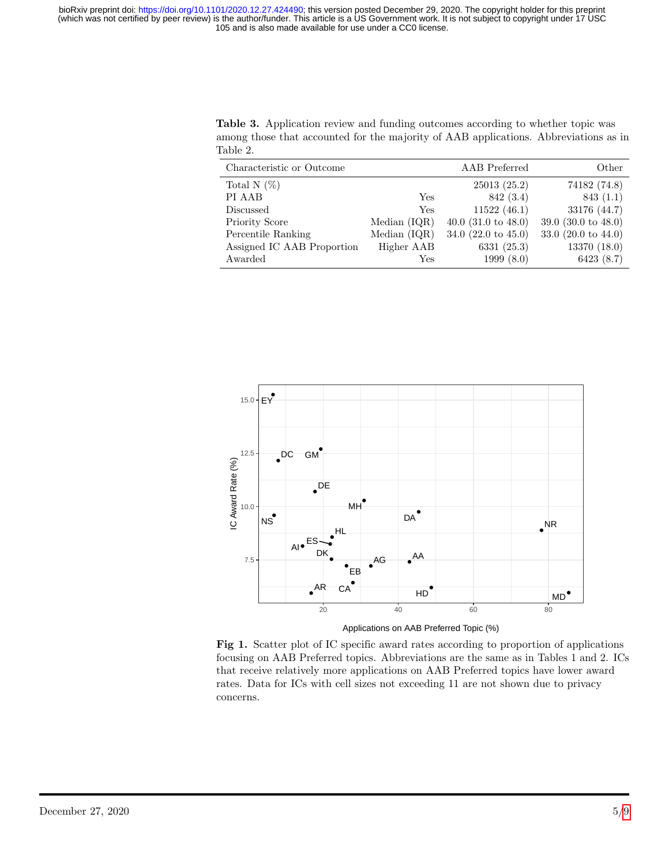105 and is also made available for use under a CC0 license. (which was not certified by peer review) is the author/funder. This article is a US Government work. It is not subject to copyright under 17 USC bioRxiv preprint doi: [https://doi.org/10.1101/2020.12.27.424490;](https://doi.org/10.1101/2020.12.27.424490) this version posted December 29, 2020. The copyright holder for this preprint

Table 2. Characteristic or Outcome AAB Preferred Other Total N (%) 25013 (25.2) 74182 (74.8) PI AAB  $\text{Yes}$  842 (3.4) 843 (1.1) Discussed Yes 11522 (46.1) 33176 (44.7)

<span id="page-4-0"></span>Table 3. Application review and funding outcomes according to whether topic was among those that accounted for the majority of AAB applications. Abbreviations as in

Priority Score Median (IQR) 40.0 (31.0 to 48.0) 39.0 (30.0 to 48.0) Percentile Ranking Median (IQR) 34.0 (22.0 to 45.0) 33.0 (20.0 to 44.0) Assigned IC AAB Proportion Higher AAB 6331 (25.3) 13370 (18.0) Awarded Yes 1999 (8.0) 6423 (8.7)

<span id="page-4-1"></span>

Fig 1. Scatter plot of IC specific award rates according to proportion of applications focusing on AAB Preferred topics. Abbreviations are the same as in Tables 1 and 2. ICs that receive relatively more applications on AAB Preferred topics have lower award rates. Data for ICs with cell sizes not exceeding 11 are not shown due to privacy concerns.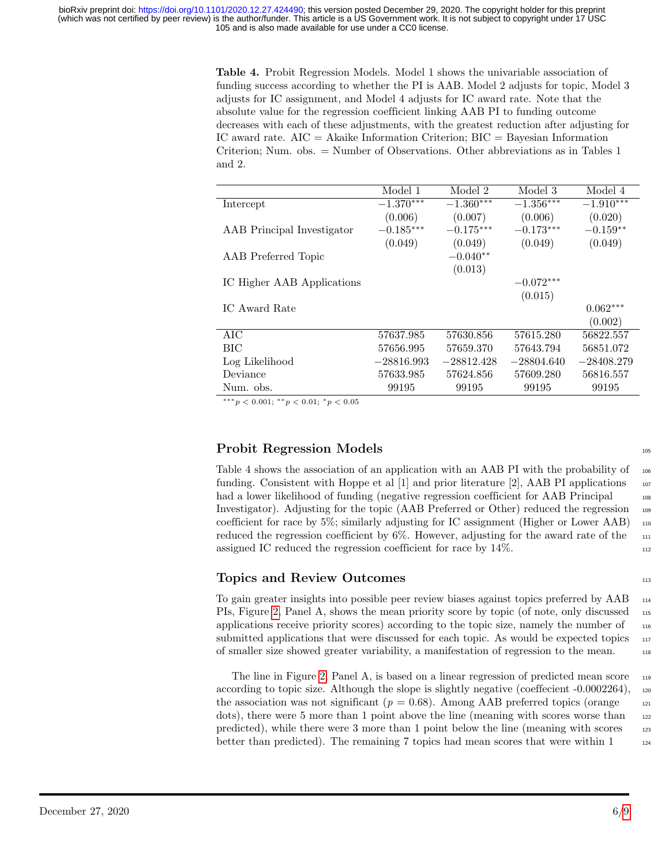105 and is also made available for use under a CC0 license. (which was not certified by peer review) is the author/funder. This article is a US Government work. It is not subject to copyright under 17 USC bioRxiv preprint doi: [https://doi.org/10.1101/2020.12.27.424490;](https://doi.org/10.1101/2020.12.27.424490) this version posted December 29, 2020. The copyright holder for this preprint

> Table 4. Probit Regression Models. Model 1 shows the univariable association of funding success according to whether the PI is AAB. Model 2 adjusts for topic, Model 3 adjusts for IC assignment, and Model 4 adjusts for IC award rate. Note that the absolute value for the regression coefficient linking AAB PI to funding outcome decreases with each of these adjustments, with the greatest reduction after adjusting for IC award rate.  $AIC = Akaike$  Information Criterion;  $BIC = Bayesian$  Information Criterion; Num. obs. = Number of Observations. Other abbreviations as in Tables 1 and 2.

|                            | Model 1      | Model 2      | Model 3      | Model 4      |
|----------------------------|--------------|--------------|--------------|--------------|
| Intercept                  | $-1.370***$  | $-1.360***$  | $-1.356***$  | $-1.910***$  |
|                            | (0.006)      | (0.007)      | (0.006)      | (0.020)      |
| AAB Principal Investigator | $-0.185***$  | $-0.175***$  | $-0.173***$  | $-0.159**$   |
|                            | (0.049)      | (0.049)      | (0.049)      | (0.049)      |
| AAB Preferred Topic        |              | $-0.040**$   |              |              |
|                            |              | (0.013)      |              |              |
| IC Higher AAB Applications |              |              | $-0.072***$  |              |
|                            |              |              | (0.015)      |              |
| IC Award Rate              |              |              |              | $0.062***$   |
|                            |              |              |              | (0.002)      |
| <b>AIC</b>                 | 57637.985    | 57630.856    | 57615.280    | 56822.557    |
| <b>BIC</b>                 | 57656.995    | 57659.370    | 57643.794    | 56851.072    |
| Log Likelihood             | $-28816.993$ | $-28812.428$ | $-28804.640$ | $-28408.279$ |
| Deviance                   | 57633.985    | 57624.856    | 57609.280    | 56816.557    |
| Num. obs.                  | 99195        | 99195        | 99195        | 99195        |

∗∗∗p < 0.001; ∗∗p < 0.01; <sup>∗</sup>p < 0.05

### Probit Regression Models 105

Table 4 shows the association of an application with an AAB PI with the probability of  $_{106}$ funding. Consistent with Hoppe et al  $[1]$  and prior literature  $[2]$ , AAB PI applications  $\frac{107}{20}$ had a lower likelihood of funding (negative regression coefficient for AAB Principal 108 Investigator). Adjusting for the topic (AAB Preferred or Other) reduced the regression 109 coefficient for race by  $5\%$ ; similarly adjusting for IC assignment (Higher or Lower AAB)  $_{110}$ reduced the regression coefficient by  $6\%$ . However, adjusting for the award rate of the  $\frac{111}{111}$ assigned IC reduced the regression coefficient for race by  $14\%$ .

#### Topics and Review Outcomes 113

To gain greater insights into possible peer review biases against topics preferred by AAB  $_{114}$ PIs, Figure [2,](#page-6-0) Panel A, shows the mean priority score by topic (of note, only discussed 115 applications receive priority scores) according to the topic size, namely the number of  $\frac{116}{116}$ submitted applications that were discussed for each topic. As would be expected topics  $_{117}$ of smaller size showed greater variability, a manifestation of regression to the mean. <sup>118</sup>

The line in Figure [2,](#page-6-0) Panel A, is based on a linear regression of predicted mean score <sup>119</sup> according to topic size. Although the slope is slightly negative (coeffecient  $-0.0002264$ ),  $120$ the association was not significant ( $p = 0.68$ ). Among AAB preferred topics (orange 121 dots), there were 5 more than 1 point above the line (meaning with scores worse than 122 predicted), while there were 3 more than 1 point below the line (meaning with scores <sup>123</sup> better than predicted). The remaining 7 topics had mean scores that were within  $1_{124}$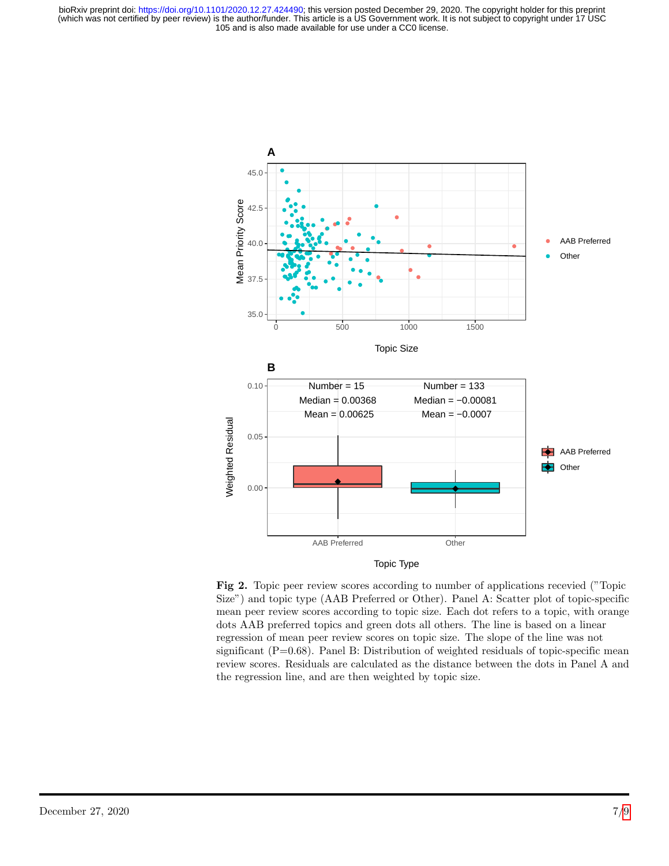105 and is also made available for use under a CC0 license. (which was not certified by peer review) is the author/funder. This article is a US Government work. It is not subject to copyright under 17 USC bioRxiv preprint doi: [https://doi.org/10.1101/2020.12.27.424490;](https://doi.org/10.1101/2020.12.27.424490) this version posted December 29, 2020. The copyright holder for this preprint

<span id="page-6-0"></span>

Fig 2. Topic peer review scores according to number of applications recevied ("Topic Size") and topic type (AAB Preferred or Other). Panel A: Scatter plot of topic-specific mean peer review scores according to topic size. Each dot refers to a topic, with orange dots AAB preferred topics and green dots all others. The line is based on a linear regression of mean peer review scores on topic size. The slope of the line was not significant  $(P=0.68)$ . Panel B: Distribution of weighted residuals of topic-specific mean review scores. Residuals are calculated as the distance between the dots in Panel A and the regression line, and are then weighted by topic size.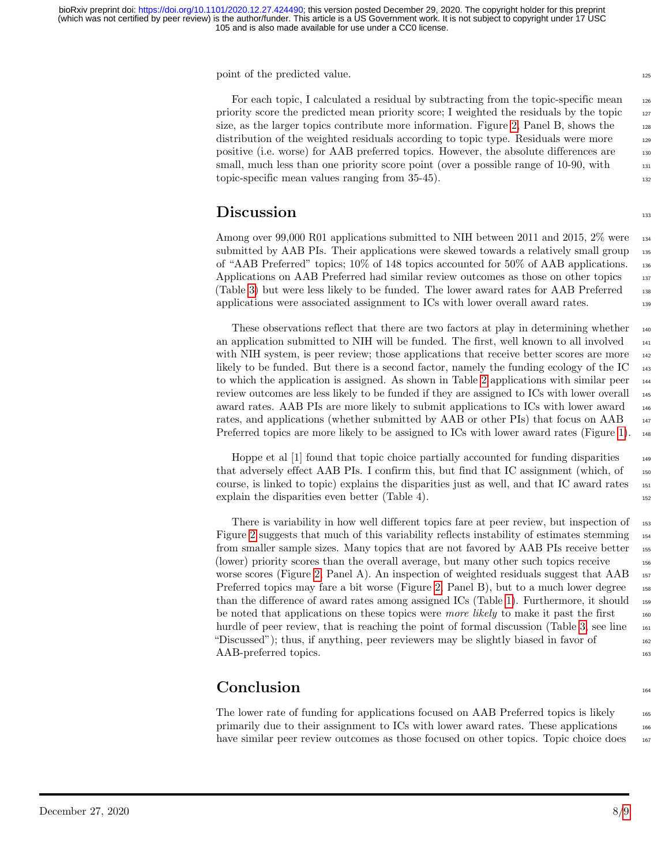point of the predicted value.

For each topic, I calculated a residual by subtracting from the topic-specific mean 126 priority score the predicted mean priority score; I weighted the residuals by the topic  $_{127}$ size, as the larger topics contribute more information. Figure [2,](#page-6-0) Panel B, shows the  $_{128}$ distribution of the weighted residuals according to topic type. Residuals were more  $_{129}$ positive (i.e. worse) for AAB preferred topics. However, the absolute differences are <sup>130</sup> small, much less than one priority score point (over a possible range of 10-90, with  $\frac{131}{131}$ topic-specific mean values ranging from  $35-45$ ).

# Discussion and the set of the set of the set of the set of the set of the set of the set of the set of the set of the set of the set of the set of the set of the set of the set of the set of the set of the set of the set o

Among over 99,000 R01 applications submitted to NIH between 2011 and 2015, 2% were 134 submitted by AAB PIs. Their applications were skewed towards a relatively small group 135 of "AAB Preferred" topics; 10% of 148 topics accounted for 50% of AAB applications. <sup>136</sup> Applications on AAB Preferred had similar review outcomes as those on other topics 137 (Table [3\)](#page-4-0) but were less likely to be funded. The lower award rates for AAB Preferred <sup>138</sup> applications were associated assignment to ICs with lower overall award rates. <sup>139</sup>

These observations reflect that there are two factors at play in determining whether  $_{140}$ an application submitted to NIH will be funded. The first, well known to all involved  $_{141}$ with NIH system, is peer review; those applications that receive better scores are more  $_{142}$ likely to be funded. But there is a second factor, namely the funding ecology of the IC  $_{143}$ to which the application is assigned. As shown in Table [2](#page-3-1) applications with similar peer <sup>144</sup> review outcomes are less likely to be funded if they are assigned to ICs with lower overall  $_{145}$ award rates. AAB PIs are more likely to submit applications to ICs with lower award <sup>146</sup> rates, and applications (whether submitted by AAB or other PIs) that focus on AAB 147 Preferred topics are more likely to be assigned to ICs with lower award rates (Figure [1\)](#page-4-1).  $_{148}$ 

Hoppe et al [1] found that topic choice partially accounted for funding disparities 149 that adversely effect AAB PIs. I confirm this, but find that IC assignment (which, of <sup>150</sup> course, is linked to topic) explains the disparities just as well, and that IC award rates <sup>151</sup> explain the disparities even better (Table 4).

There is variability in how well different topics fare at peer review, but inspection of  $\frac{153}{153}$ Figure [2](#page-6-0) suggests that much of this variability reflects instability of estimates stemming 154 from smaller sample sizes. Many topics that are not favored by AAB PIs receive better 155 (lower) priority scores than the overall average, but many other such topics receive <sup>156</sup> worse scores (Figure [2,](#page-6-0) Panel A). An inspection of weighted residuals suggest that  $AAB$ <sup>157</sup> Preferred topics may fare a bit worse (Figure [2,](#page-6-0) Panel B), but to a much lower degree 158 than the difference of award rates among assigned ICs (Table [1\)](#page-3-0). Furthermore, it should <sup>159</sup> be noted that applications on these topics were *more likely* to make it past the first  $160$ hurdle of peer review, that is reaching the point of formal discussion (Table [3,](#page-4-0) see line  $_{161}$ "Discussed"); thus, if anything, peer reviewers may be slightly biased in favor of  $_{162}$ AAB-preferred topics.

# $\mathbf{Conclusion}$  164

The lower rate of funding for applications focused on AAB Preferred topics is likely 165 primarily due to their assignment to ICs with lower award rates. These applications <sup>166</sup> have similar peer review outcomes as those focused on other topics. Topic choice does  $_{167}$